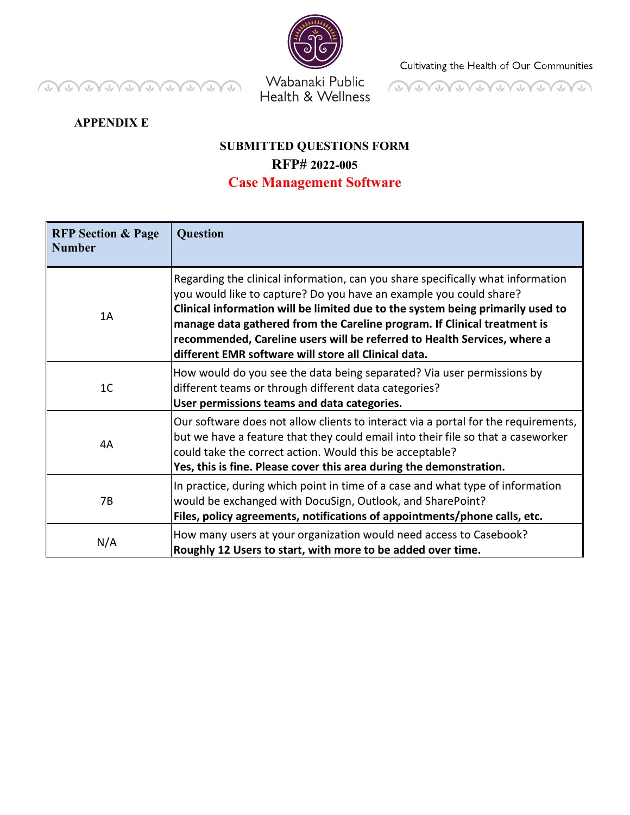**OVENDADO DO DO** 



Health & Wellness

Cultivating the Health of Our Communities



**APPENDIX E** 

## **SUBMITTED QUESTIONS FORM RFP# 2022-005 Case Management Software**

| <b>RFP Section &amp; Page</b><br><b>Number</b> | <b>Question</b>                                                                                                                                                                                                                                                                                                                                                                                                                                         |
|------------------------------------------------|---------------------------------------------------------------------------------------------------------------------------------------------------------------------------------------------------------------------------------------------------------------------------------------------------------------------------------------------------------------------------------------------------------------------------------------------------------|
| 1A                                             | Regarding the clinical information, can you share specifically what information<br>you would like to capture? Do you have an example you could share?<br>Clinical information will be limited due to the system being primarily used to<br>manage data gathered from the Careline program. If Clinical treatment is<br>recommended, Careline users will be referred to Health Services, where a<br>different EMR software will store all Clinical data. |
| 1 <sup>C</sup>                                 | How would do you see the data being separated? Via user permissions by<br>different teams or through different data categories?<br>User permissions teams and data categories.                                                                                                                                                                                                                                                                          |
| 4A                                             | Our software does not allow clients to interact via a portal for the requirements,<br>but we have a feature that they could email into their file so that a caseworker<br>could take the correct action. Would this be acceptable?<br>Yes, this is fine. Please cover this area during the demonstration.                                                                                                                                               |
| 7B                                             | In practice, during which point in time of a case and what type of information<br>would be exchanged with DocuSign, Outlook, and SharePoint?<br>Files, policy agreements, notifications of appointments/phone calls, etc.                                                                                                                                                                                                                               |
| N/A                                            | How many users at your organization would need access to Casebook?<br>Roughly 12 Users to start, with more to be added over time.                                                                                                                                                                                                                                                                                                                       |